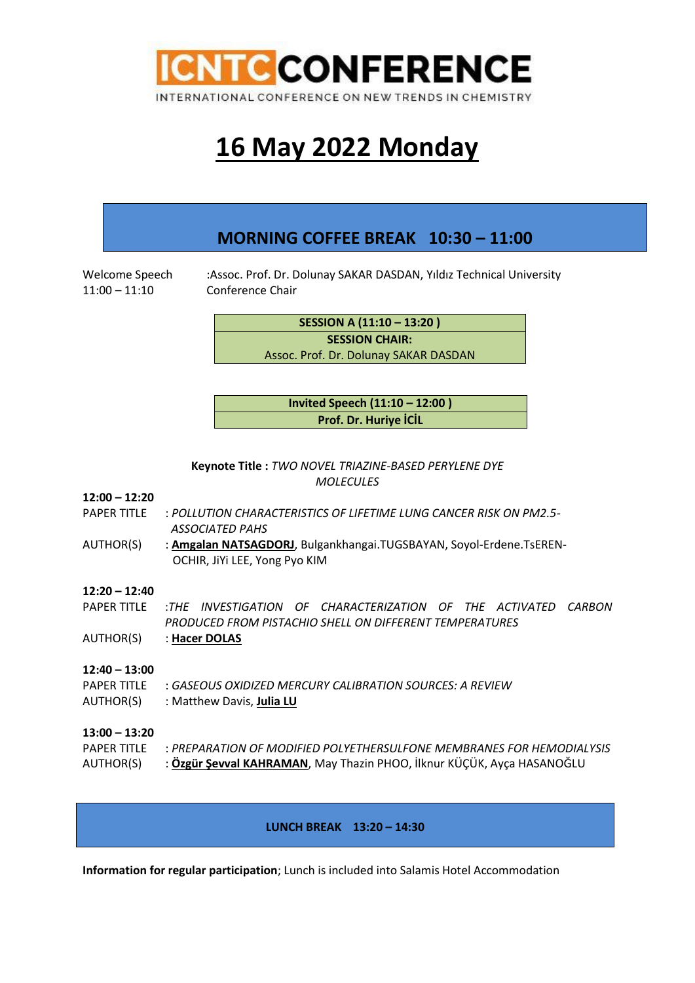

## **16 May 2022 Monday**

### **MORNING COFFEE BREAK 10:30 – 11:00**

11:00 – 11:10 Conference Chair

Welcome Speech :Assoc. Prof. Dr. Dolunay SAKAR DASDAN, Yıldız Technical University

**SESSION A (11:10 – 13:20 ) SESSION CHAIR:**  Assoc. Prof. Dr. Dolunay SAKAR DASDAN

**Invited Speech (11:10 – 12:00 ) Prof. Dr. Huriye İCİL**

**Keynote Title :** *TWO NOVEL TRIAZINE-BASED PERYLENE DYE MOLECULES*

#### **12:00 – 12:20**

- PAPER TITLE : *POLLUTION CHARACTERISTICS OF LIFETIME LUNG CANCER RISK ON PM2.5- ASSOCIATED PAHS*
- AUTHOR(S) : **Amgalan NATSAGDORJ**, Bulgankhangai.TUGSBAYAN, Soyol-Erdene.TsEREN- OCHIR, JiYi LEE, Yong Pyo KIM

#### **12:20 – 12:40**

- PAPER TITLE :*THE INVESTIGATION OF CHARACTERIZATION OF THE ACTIVATED CARBON PRODUCED FROM PISTACHIO SHELL ON DIFFERENT TEMPERATURES*
- AUTHOR(S) : **Hacer DOLAS**

#### **12:40 – 13:00**

PAPER TITLE : *GASEOUS OXIDIZED MERCURY CALIBRATION SOURCES: A REVIEW* AUTHOR(S) : Matthew Davis, **Julia LU**

#### **13:00 – 13:20**

| <b>PAPER TITLE</b> | : PREPARATION OF MODIFIED POLYETHERSULFONE MEMBRANES FOR HEMODIALYSIS  |
|--------------------|------------------------------------------------------------------------|
| AUTHOR(S)          | : Özgür Şevval KAHRAMAN, May Thazin PHOO, İlknur KÜÇÜK, Ayça HASANOĞLU |

**LUNCH BREAK 13:20 – 14:30**

**Information for regular participation**; Lunch is included into Salamis Hotel Accommodation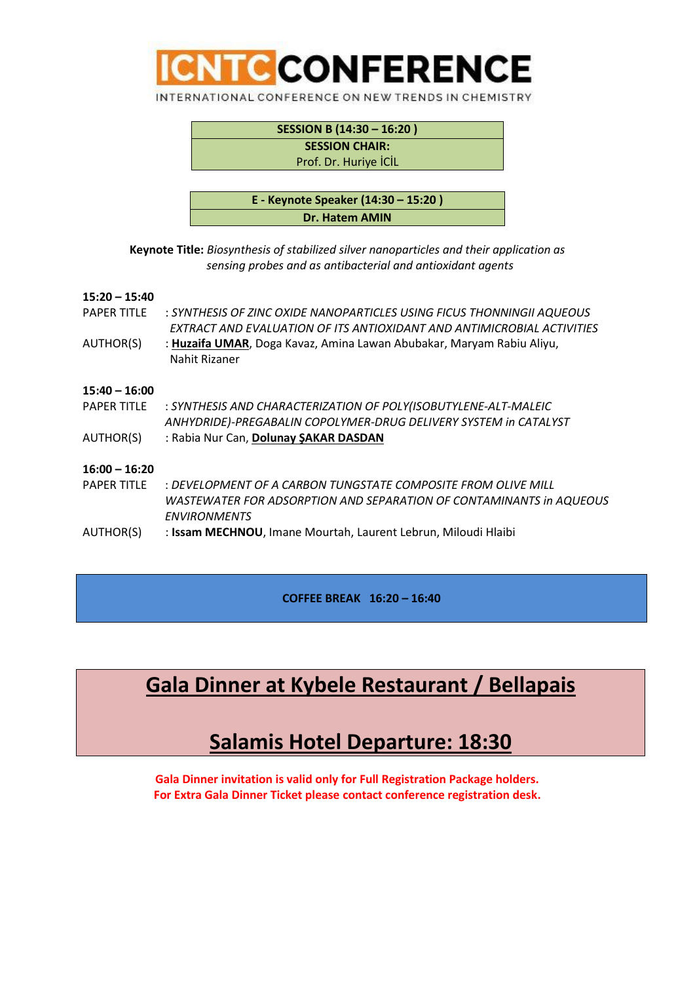

| SESSION B (14:30 - 16:20) |  |
|---------------------------|--|
| <b>SESSION CHAIR:</b>     |  |
| Prof. Dr. Huriye İCİL     |  |
|                           |  |

| E - Keynote Speaker (14:30 - 15:20) |  |
|-------------------------------------|--|
| Dr. Hatem AMIN                      |  |

**Keynote Title:** *Biosynthesis of stabilized silver nanoparticles and their application as sensing probes and as antibacterial and antioxidant agents*

#### **15:20 – 15:40**

| <b>PAPER TITLE</b> | : SYNTHESIS OF ZINC OXIDE NANOPARTICLES USING FICUS THONNINGII AQUEOUS<br>EXTRACT AND EVALUATION OF ITS ANTIOXIDANT AND ANTIMICROBIAL ACTIVITIES |
|--------------------|--------------------------------------------------------------------------------------------------------------------------------------------------|
| AUTHOR(S)          | : Huzaifa UMAR, Doga Kavaz, Amina Lawan Abubakar, Maryam Rabiu Aliyu,<br>Nahit Rizaner                                                           |
| $15:40 - 16:00$    |                                                                                                                                                  |
| <b>PAPER TITLE</b> | : SYNTHESIS AND CHARACTERIZATION OF POLY(ISOBUTYLENE-ALT-MALEIC                                                                                  |
|                    | ANHYDRIDE)-PREGABALIN COPOLYMER-DRUG DELIVERY SYSTEM in CATALYST                                                                                 |
| AUTHOR(S)          | : Rabia Nur Can, Dolunay ŞAKAR DASDAN                                                                                                            |
| $16:00 - 16:20$    |                                                                                                                                                  |
| <b>PAPFR TITLF</b> | : DEVELOPMENT OF A CARBON TUNGSTATE COMPOSITE FROM OLIVE MILL                                                                                    |
|                    | WASTEWATER FOR ADSORPTION AND SEPARATION OF CONTAMINANTS in AQUEOUS<br><b>ENVIRONMENTS</b>                                                       |
| AUTHOR(S)          | : Issam MECHNOU, Imane Mourtah, Laurent Lebrun, Miloudi Hlaibi                                                                                   |

**COFFEE BREAK 16:20 – 16:40**

### **Gala Dinner at Kybele Restaurant / Bellapais**

### **Salamis Hotel Departure: 18:30**

**Gala Dinner invitation is valid only for Full Registration Package holders. For Extra Gala Dinner Ticket please contact conference registration desk.**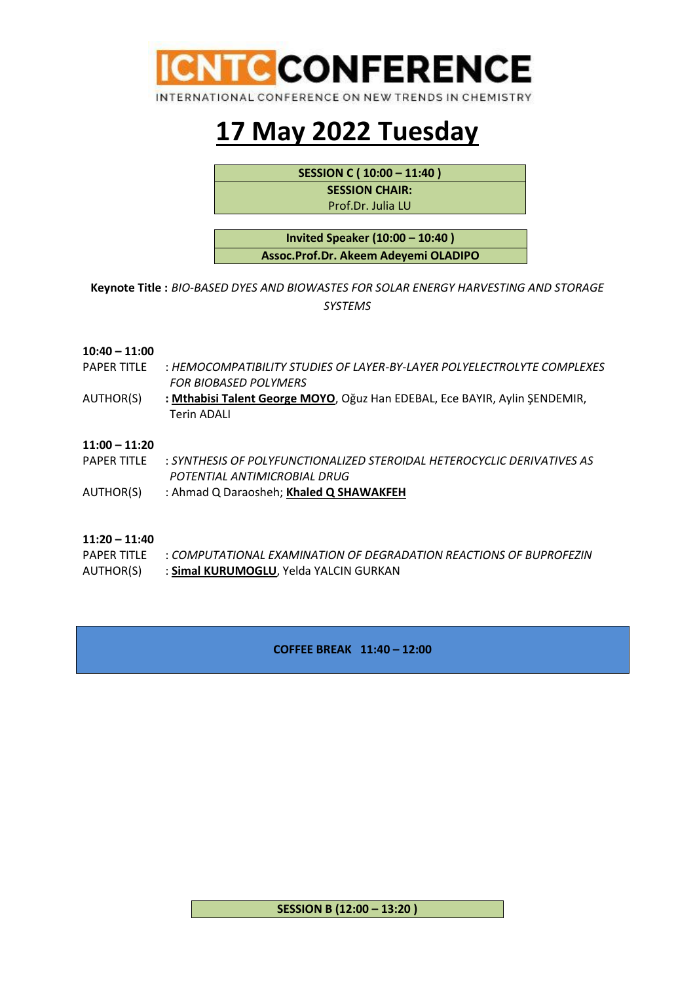

## **17 May 2022 Tuesday**

**SESSION C ( 10:00 – 11:40 )**

**SESSION CHAIR:** 

Prof.Dr. Julia LU

**Invited Speaker (10:00 – 10:40 ) Assoc.Prof.Dr. Akeem Adeyemi OLADIPO**

**Keynote Title :** *BIO-BASED DYES AND BIOWASTES FOR SOLAR ENERGY HARVESTING AND STORAGE SYSTEMS*

#### **10:40 – 11:00**

- PAPER TITLE : *HEMOCOMPATIBILITY STUDIES OF LAYER-BY-LAYER POLYELECTROLYTE COMPLEXES FOR BIOBASED POLYMERS*
- AUTHOR(S) **: Mthabisi Talent George MOYO**, Oğuz Han EDEBAL, Ece BAYIR, Aylin ŞENDEMIR, Terin ADALI

#### **11:00 – 11:20**

- PAPER TITLE : *SYNTHESIS OF POLYFUNCTIONALIZED STEROIDAL HETEROCYCLIC DERIVATIVES AS POTENTIAL ANTIMICROBIAL DRUG*
- AUTHOR(S) : Ahmad Q Daraosheh; **Khaled Q SHAWAKFEH**

#### **11:20 – 11:40**

- PAPER TITLE : *COMPUTATIONAL EXAMINATION OF DEGRADATION REACTIONS OF BUPROFEZIN*
- AUTHOR(S) : **Simal KURUMOGLU**, Yelda YALCIN GURKAN

#### **COFFEE BREAK 11:40 – 12:00**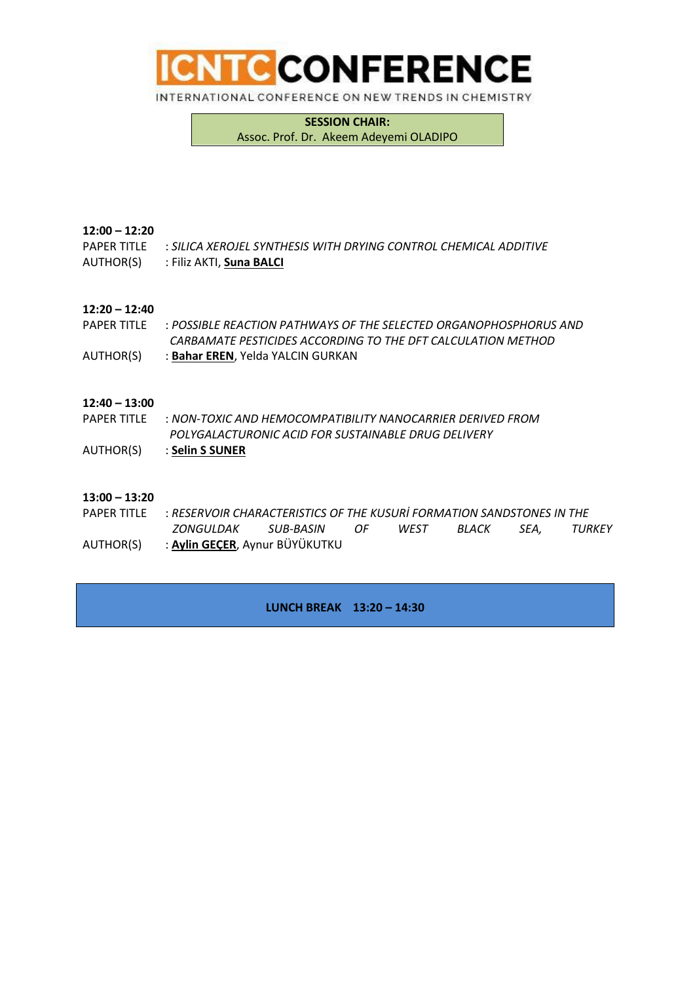

**SESSION CHAIR:**  Assoc. Prof. Dr. Akeem Adeyemi OLADIPO

#### **12:00 – 12:20**

PAPER TITLE : *SILICA XEROJEL SYNTHESIS WITH DRYING CONTROL CHEMICAL ADDITIVE*

AUTHOR(S) : Filiz AKTI, **Suna BALCI**

#### **12:20 – 12:40**

- PAPER TITLE : *POSSIBLE REACTION PATHWAYS OF THE SELECTED ORGANOPHOSPHORUS AND CARBAMATE PESTICIDES ACCORDING TO THE DFT CALCULATION METHOD*
- AUTHOR(S) : **Bahar EREN**, Yelda YALCIN GURKAN

#### **12:40 – 13:00**

- PAPER TITLE : *NON-TOXIC AND HEMOCOMPATIBILITY NANOCARRIER DERIVED FROM POLYGALACTURONIC ACID FOR SUSTAINABLE DRUG DELIVERY*
- AUTHOR(S) : **Selin S SUNER**

#### **13:00 – 13:20**

PAPER TITLE : *RESERVOIR CHARACTERISTICS OF THE KUSURİ FORMATION SANDSTONES IN THE ZONGULDAK SUB-BASIN OF WEST BLACK SEA, TURKEY* AUTHOR(S) : **Aylin GEÇER**, Aynur BÜYÜKUTKU

**LUNCH BREAK 13:20 – 14:30**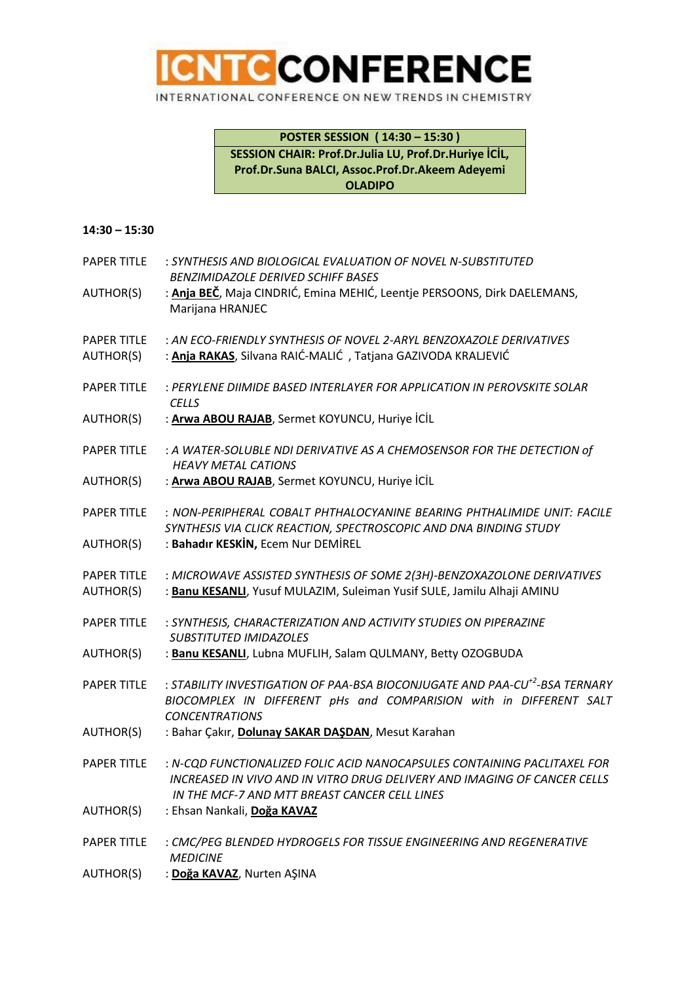

**POSTER SESSION ( 14:30 – 15:30 ) SESSION CHAIR: Prof.Dr.Julia LU, Prof.Dr.Huriye İCİL, Prof.Dr.Suna BALCI, Assoc.Prof.Dr.Akeem Adeyemi OLADIPO**

#### **14:30 – 15:30**

| <b>PAPER TITLE</b>              | : SYNTHESIS AND BIOLOGICAL EVALUATION OF NOVEL N-SUBSTITUTED<br><b>BENZIMIDAZOLE DERIVED SCHIFF BASES</b>                                                                                             |
|---------------------------------|-------------------------------------------------------------------------------------------------------------------------------------------------------------------------------------------------------|
| AUTHOR(S)                       | : Anja BEČ, Maja CINDRIĆ, Emina MEHIĆ, Leentje PERSOONS, Dirk DAELEMANS,<br>Marijana HRANJEC                                                                                                          |
| <b>PAPER TITLE</b><br>AUTHOR(S) | : AN ECO-FRIENDLY SYNTHESIS OF NOVEL 2-ARYL BENZOXAZOLE DERIVATIVES<br>: Anja RAKAS, Silvana RAIĆ-MALIĆ, Tatjana GAZIVODA KRALJEVIĆ                                                                   |
| <b>PAPER TITLE</b>              | : PERYLENE DIIMIDE BASED INTERLAYER FOR APPLICATION IN PEROVSKITE SOLAR<br><b>CELLS</b>                                                                                                               |
| AUTHOR(S)                       | : Arwa ABOU RAJAB, Sermet KOYUNCU, Huriye İCİL                                                                                                                                                        |
| <b>PAPER TITLE</b>              | : A WATER-SOLUBLE NDI DERIVATIVE AS A CHEMOSENSOR FOR THE DETECTION of<br><b>HEAVY METAL CATIONS</b>                                                                                                  |
| AUTHOR(S)                       | : Arwa ABOU RAJAB, Sermet KOYUNCU, Huriye İCİL                                                                                                                                                        |
| <b>PAPER TITLE</b>              | : NON-PERIPHERAL COBALT PHTHALOCYANINE BEARING PHTHALIMIDE UNIT: FACILE<br>SYNTHESIS VIA CLICK REACTION, SPECTROSCOPIC AND DNA BINDING STUDY                                                          |
| AUTHOR(S)                       | : Bahadır KESKİN, Ecem Nur DEMİREL                                                                                                                                                                    |
| <b>PAPER TITLE</b><br>AUTHOR(S) | : MICROWAVE ASSISTED SYNTHESIS OF SOME 2(3H)-BENZOXAZOLONE DERIVATIVES<br>: Banu KESANLI, Yusuf MULAZIM, Suleiman Yusif SULE, Jamilu Alhaji AMINU                                                     |
| <b>PAPER TITLE</b>              | : SYNTHESIS, CHARACTERIZATION AND ACTIVITY STUDIES ON PIPERAZINE<br><b>SUBSTITUTED IMIDAZOLES</b>                                                                                                     |
| AUTHOR(S)                       | : Banu KESANLI, Lubna MUFLIH, Salam QULMANY, Betty OZOGBUDA                                                                                                                                           |
| <b>PAPER TITLE</b>              | : STABILITY INVESTIGATION OF PAA-BSA BIOCONJUGATE AND PAA-CU <sup>+2</sup> -BSA TERNARY<br>BIOCOMPLEX IN DIFFERENT pHs and COMPARISION with in DIFFERENT SALT<br><b>CONCENTRATIONS</b>                |
| AUTHOR(S)                       | : Bahar Çakır, Dolunay SAKAR DAŞDAN, Mesut Karahan                                                                                                                                                    |
| <b>PAPER TITLE</b>              | : N-CQD FUNCTIONALIZED FOLIC ACID NANOCAPSULES CONTAINING PACLITAXEL FOR<br>INCREASED IN VIVO AND IN VITRO DRUG DELIVERY AND IMAGING OF CANCER CELLS<br>IN THE MCF-7 AND MTT BREAST CANCER CELL LINES |
| AUTHOR(S)                       | : Ehsan Nankali, Doğa KAVAZ                                                                                                                                                                           |
| <b>PAPER TITLE</b>              | : CMC/PEG BLENDED HYDROGELS FOR TISSUE ENGINEERING AND REGENERATIVE<br><b>MEDICINE</b>                                                                                                                |
| AUTHOR(S)                       | : Doğa KAVAZ, Nurten AŞINA                                                                                                                                                                            |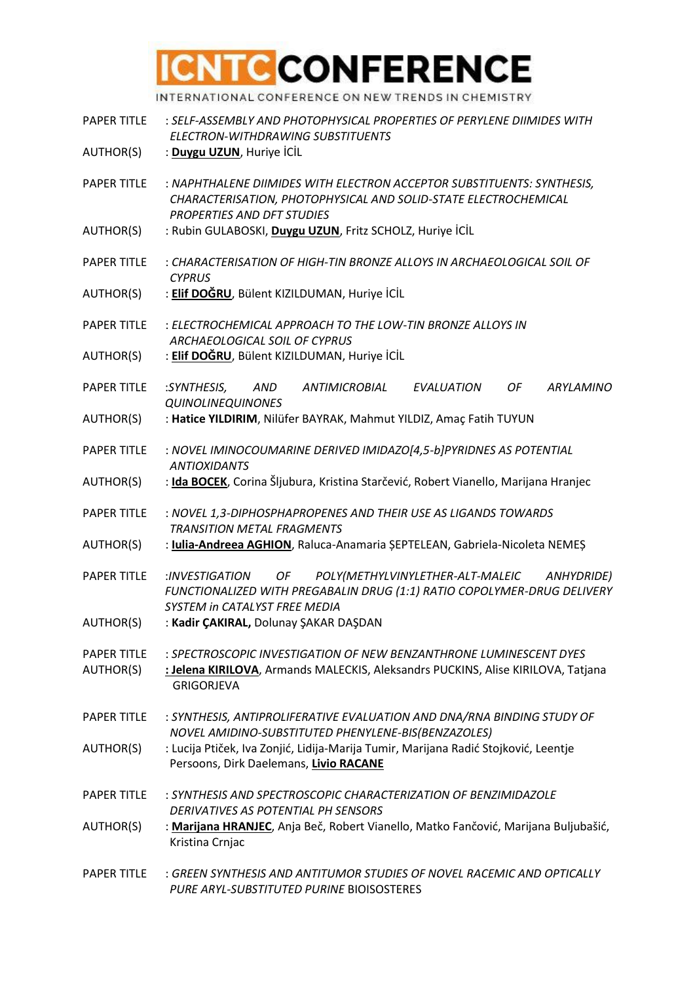# **CNTC CONFERENCE**

INTERNATIONAL CONFERENCE ON NEW TRENDS IN CHEMISTRY

- PAPER TITLE : *SELF-ASSEMBLY AND PHOTOPHYSICAL PROPERTIES OF PERYLENE DIIMIDES WITH ELECTRON-WITHDRAWING SUBSTITUENTS*
- AUTHOR(S) : **Duygu UZUN**, Huriye İCİL
- PAPER TITLE : *NAPHTHALENE DIIMIDES WITH ELECTRON ACCEPTOR SUBSTITUENTS: SYNTHESIS, CHARACTERISATION, PHOTOPHYSICAL AND SOLID-STATE ELECTROCHEMICAL PROPERTIES AND DFT STUDIES*
- AUTHOR(S) : Rubin GULABOSKI, **Duygu UZUN**, Fritz SCHOLZ, Huriye İCİL
- PAPER TITLE : *CHARACTERISATION OF HIGH-TIN BRONZE ALLOYS IN ARCHAEOLOGICAL SOIL OF CYPRUS*
- AUTHOR(S) : **Elif DOĞRU**, Bülent KIZILDUMAN, Huriye İCİL
- PAPER TITLE : *ELECTROCHEMICAL APPROACH TO THE LOW-TIN BRONZE ALLOYS IN ARCHAEOLOGICAL SOIL OF CYPRUS*
- AUTHOR(S) : **Elif DOĞRU**, Bülent KIZILDUMAN, Huriye İCİL
- PAPER TITLE :*SYNTHESIS, AND ANTIMICROBIAL EVALUATION OF ARYLAMINO QUINOLINEQUINONES*
- AUTHOR(S) : **Hatice YILDIRIM**, Nilüfer BAYRAK, Mahmut YILDIZ, Amaç Fatih TUYUN
- PAPER TITLE : *NOVEL IMINOCOUMARINE DERIVED IMIDAZO[4,5-b]PYRIDNES AS POTENTIAL ANTIOXIDANTS*
- AUTHOR(S) : **Ida BOCEK**, Corina Šljubura, Kristina Starčević, Robert Vianello, Marijana Hranjec
- PAPER TITLE : *NOVEL 1,3-DIPHOSPHAPROPENES AND THEIR USE AS LIGANDS TOWARDS TRANSITION METAL FRAGMENTS*
- AUTHOR(S) : **Iulia-Andreea AGHION**, Raluca-Anamaria ȘEPTELEAN, Gabriela-Nicoleta NEMEȘ
- PAPER TITLE :*INVESTIGATION OF POLY(METHYLVINYLETHER-ALT-MALEIC ANHYDRIDE) FUNCTIONALIZED WITH PREGABALIN DRUG (1:1) RATIO COPOLYMER-DRUG DELIVERY SYSTEM in CATALYST FREE MEDIA*
- AUTHOR(S) : **Kadir ÇAKIRAL,** Dolunay ŞAKAR DAŞDAN
- PAPER TITLE : *SPECTROSCOPIC INVESTIGATION OF NEW BENZANTHRONE LUMINESCENT DYES*
- AUTHOR(S) **: Jelena KIRILOVA**, Armands MALECKIS, Aleksandrs PUCKINS, Alise KIRILOVA, Tatjana **GRIGORIEVA**
- PAPER TITLE : *SYNTHESIS, ANTIPROLIFERATIVE EVALUATION AND DNA/RNA BINDING STUDY OF NOVEL AMIDINO-SUBSTITUTED PHENYLENE-BIS(BENZAZOLES)*
- AUTHOR(S) : Lucija Ptiček, Iva Zonjić, Lidija-Marija Tumir, Marijana Radić Stojković, Leentje Persoons, Dirk Daelemans, **Livio RACANE**
- PAPER TITLE : *SYNTHESIS AND SPECTROSCOPIC CHARACTERIZATION OF BENZIMIDAZOLE DERIVATIVES AS POTENTIAL PH SENSORS*
- AUTHOR(S) : **Marijana HRANJEC**, Anja Beč, Robert Vianello, Matko Fančović, Marijana Buljubašić, Kristina Crnjac
- PAPER TITLE : *GREEN SYNTHESIS AND ANTITUMOR STUDIES OF NOVEL RACEMIC AND OPTICALLY PURE ARYL-SUBSTITUTED PURINE* BIOISOSTERES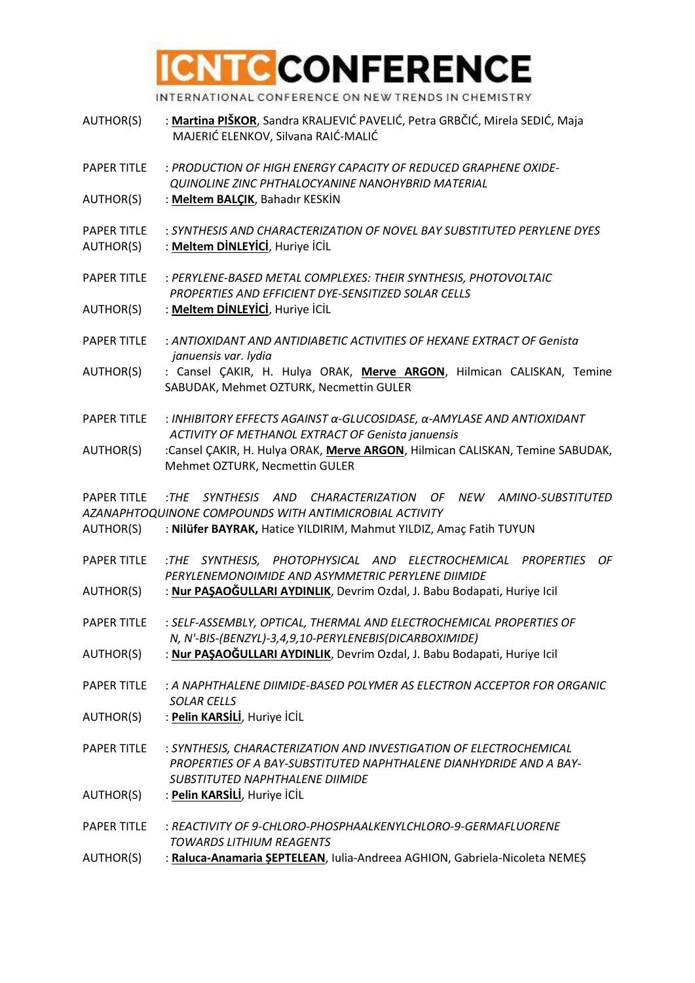# **CNTC CONFERENCE**

INTERNATIONAL CONFERENCE ON NEW TRENDS IN CHEMISTRY

- AUTHOR(S) : **Martina PIŠKOR**, Sandra KRALJEVIĆ PAVELIĆ, Petra GRBČIĆ, Mirela SEDIĆ, Maja MAJERIĆ ELENKOV, Silvana RAIĆ-MALIĆ
- PAPER TITLE : *PRODUCTION OF HIGH ENERGY CAPACITY OF REDUCED GRAPHENE OXIDE- QUINOLINE ZINC PHTHALOCYANINE NANOHYBRID MATERIAL*
- AUTHOR(S) : **Meltem BALÇIK**, Bahadır KESKİN
- PAPER TITLE : *SYNTHESIS AND CHARACTERIZATION OF NOVEL BAY SUBSTITUTED PERYLENE DYES*
- AUTHOR(S) : **Meltem DİNLEYİCİ**, Huriye İCİL
- PAPER TITLE : *PERYLENE-BASED METAL COMPLEXES: THEIR SYNTHESIS, PHOTOVOLTAIC PROPERTIES AND EFFICIENT DYE-SENSITIZED SOLAR CELLS*
- AUTHOR(S) : **Meltem DİNLEYİCİ**, Huriye İCİL
- PAPER TITLE : *ANTIOXIDANT AND ANTIDIABETIC ACTIVITIES OF HEXANE EXTRACT OF Genista januensis var. lydia*
- AUTHOR(S) : Cansel ÇAKIR, H. Hulya ORAK, **Merve ARGON**, Hilmican CALISKAN, Temine SABUDAK, Mehmet OZTURK, Necmettin GULER
- PAPER TITLE : *INHIBITORY EFFECTS AGAINST α-GLUCOSIDASE, α-AMYLASE AND ANTIOXIDANT ACTIVITY OF METHANOL EXTRACT OF Genista januensis*
- AUTHOR(S) :Cansel ÇAKIR, H. Hulya ORAK, **Merve ARGON**, Hilmican CALISKAN, Temine SABUDAK, Mehmet OZTURK, Necmettin GULER

PAPER TITLE :*THE SYNTHESIS AND CHARACTERIZATION OF NEW AMINO-SUBSTITUTED AZANAPHTOQUINONE COMPOUNDS WITH ANTIMICROBIAL ACTIVITY*

- AUTHOR(S) : **Nilüfer BAYRAK,** Hatice YILDIRIM, Mahmut YILDIZ, Amaç Fatih TUYUN
- PAPER TITLE :*THE SYNTHESIS, PHOTOPHYSICAL AND ELECTROCHEMICAL PROPERTIES OF PERYLENEMONOIMIDE AND ASYMMETRIC PERYLENE DIIMIDE*
- AUTHOR(S) : **Nur PAŞAOĞULLARI AYDINLIK**, Devrim Ozdal, J. Babu Bodapati, Huriye Icil
- PAPER TITLE : *SELF-ASSEMBLY, OPTICAL, THERMAL AND ELECTROCHEMICAL PROPERTIES OF N, N'-BIS-(BENZYL)-3,4,9,10-PERYLENEBIS(DICARBOXIMIDE)*
- AUTHOR(S) : **Nur PAŞAOĞULLARI AYDINLIK**, Devrim Ozdal, J. Babu Bodapati, Huriye Icil
- PAPER TITLE : *A NAPHTHALENE DIIMIDE-BASED POLYMER AS ELECTRON ACCEPTOR FOR ORGANIC SOLAR CELLS*
- AUTHOR(S) : **Pelin KARSİLİ**, Huriye İCİL
- PAPER TITLE : *SYNTHESIS, CHARACTERIZATION AND INVESTIGATION OF ELECTROCHEMICAL PROPERTIES OF A BAY-SUBSTITUTED NAPHTHALENE DIANHYDRIDE AND A BAY- SUBSTITUTED NAPHTHALENE DIIMIDE*
- AUTHOR(S) : **Pelin KARSİLİ**, Huriye İCİL
- PAPER TITLE : *REACTIVITY OF 9-CHLORO-PHOSPHAALKENYLCHLORO-9-GERMAFLUORENE TOWARDS LITHIUM REAGENTS*
- AUTHOR(S) : **Raluca-Anamaria ȘEPTELEAN**, Iulia-Andreea AGHION, Gabriela-Nicoleta NEMEȘ